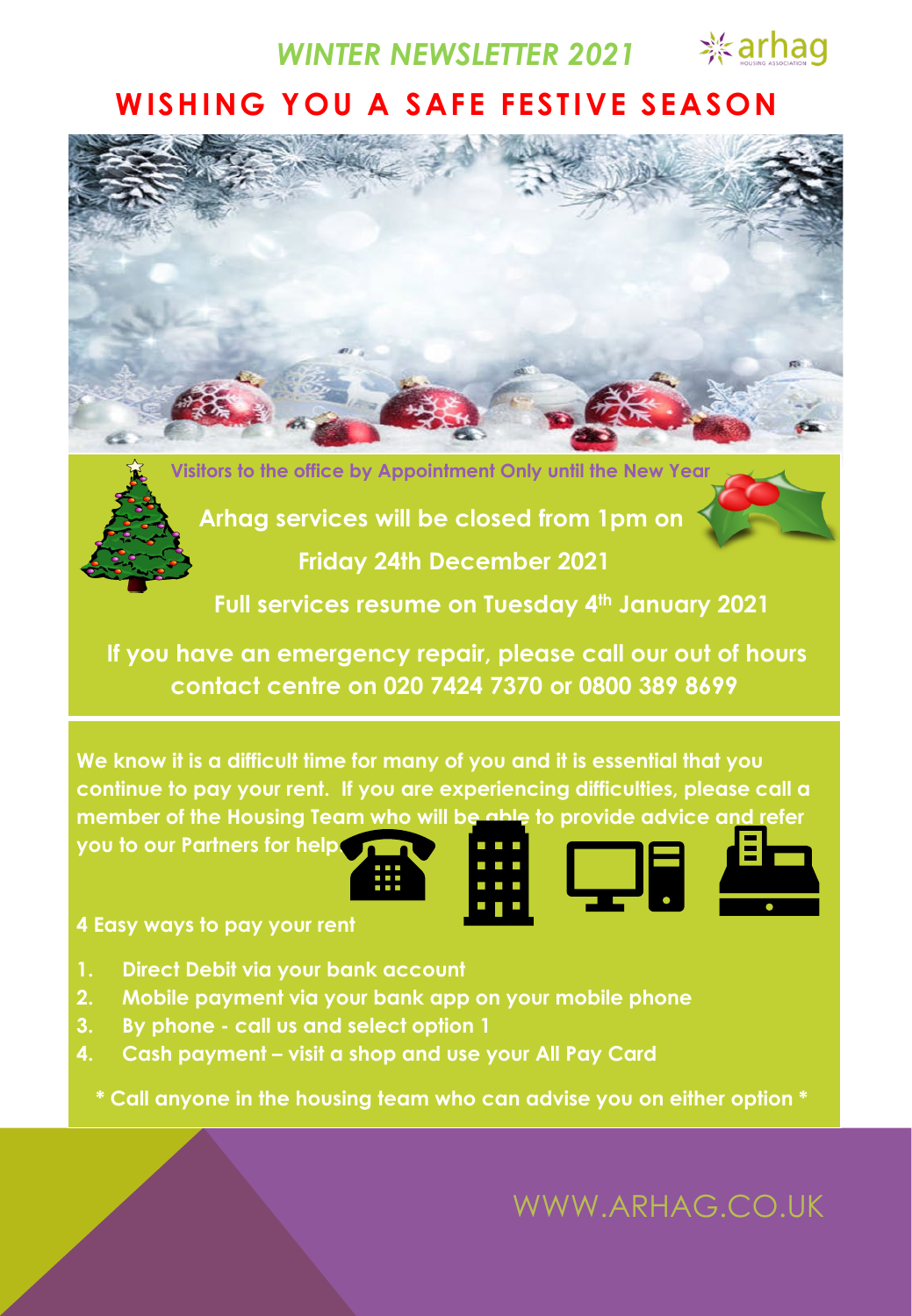*WINTER NEWSLETTER 2021*

**※arhag** 

### **WISHING YOU A SAFE FESTIVE SEASON**



**Visitors to the office by Appointment Only until the New Year**



**Arhag services will be closed from 1pm on Friday 24th December 2021**

**Full services resume on Tuesday 4th January 2021**

**If you have an emergency repair, please call our out of hours contact centre on 020 7424 7370 or 0800 389 8699**

**We know it is a difficult time for many of you and it is essential that you continue to pay your rent. If you are experiencing difficulties, please call a member of the Housing Team who will be able to provide advice and refer** 

**you to our Partners for help.**

**4 Easy ways to pay your rent**

- **1. Direct Debit via your bank account**
- **2. Mobile payment via your bank app on your mobile phone**
- **3. By phone - call us and select option 1**
- **4. Cash payment – visit a shop and use your All Pay Card**

**\* Call anyone in the housing team who can advise you on either option \***

WWW.ARHAG.CO.UK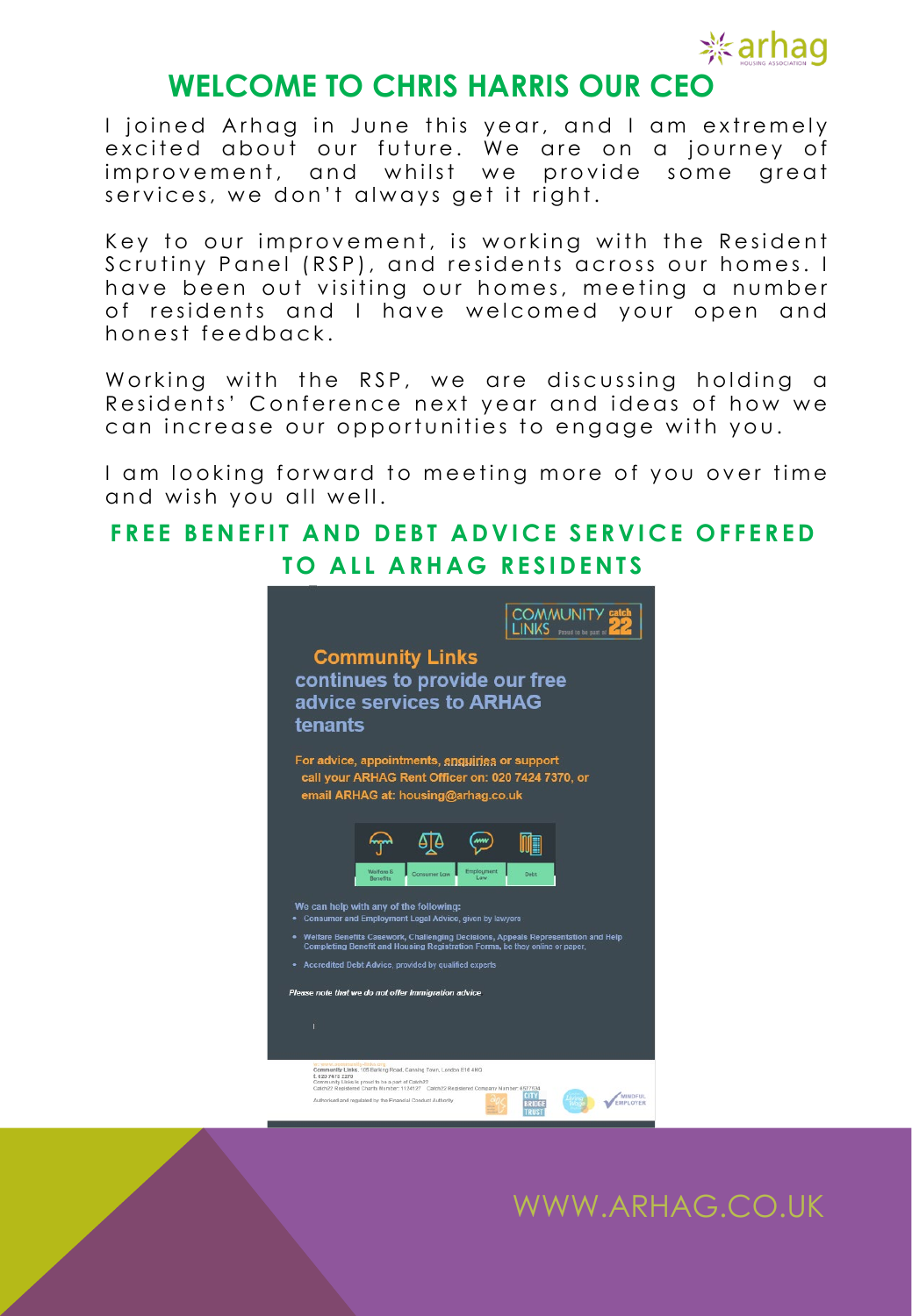

### **WELCOME TO CHRIS HARRIS OUR CEO**

I joined Arhag in June this year, and I am extremely excited about our future. We are on a journey of improvement, and whilst we provide some great services, we don't always get it right.

Key to our improvement, is working with the Resident Scrutiny Panel (RSP), and residents across our homes. I have been out visiting our homes, meeting a number o f residents and I have welcomed your open and honest feedback .

Working with the RSP, we are discussing holding a Residents' Conference next year and ideas of how we can increase our opportunities to engage with you.

I am looking forward to meeting more of you over time and wish you all well .

#### **FREE BENEFIT AND DEBT ADVICE SERVICE OFFERED TO ALL ARHAG RESIDENTS**



## WWW.ARHAG.CO.UK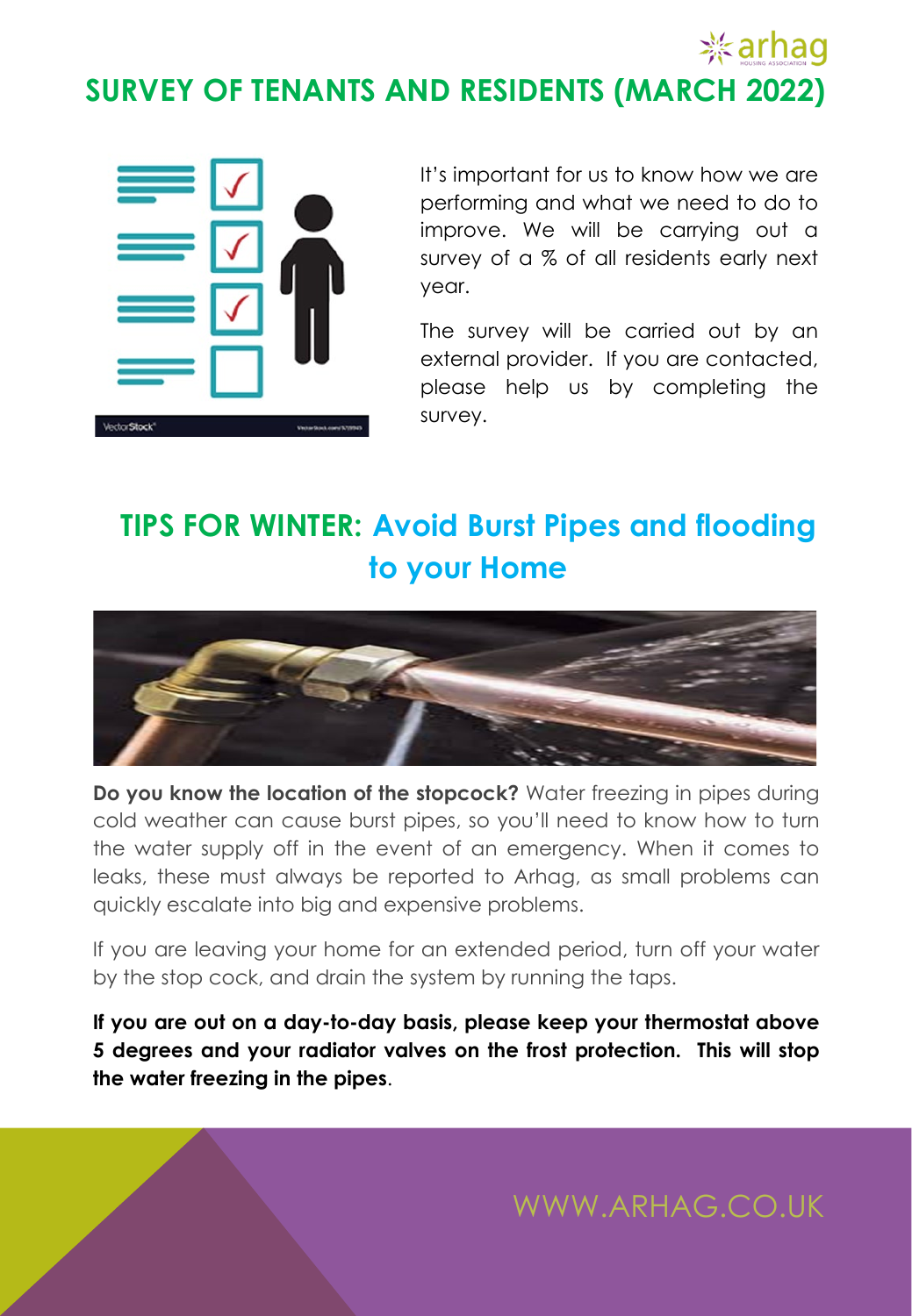# **※arhag SURVEY OF TENANTS AND RESIDENTS (MARCH 2022)**



It's important for us to know how we are performing and what we need to do to improve. We will be carrying out a survey of a % of all residents early next year.

The survey will be carried out by an external provider. If you are contacted, please help us by completing the survey.

# **TIPS FOR WINTER: Avoid Burst Pipes and flooding to your Home**



**Do you know the location of the stopcock?** Water freezing in pipes during cold weather can cause burst pipes, so you'll need to know how to turn the water supply off in the event of an emergency. When it comes to leaks, these must always be reported to Arhag, as small problems can quickly escalate into big and expensive problems.

If you are leaving your home for an extended period, turn off your water by the stop cock, and drain the system by running the taps.

**If you are out on a day-to-day basis, please keep your thermostat above 5 degrees and your radiator valves on the frost protection. This will stop the water freezing in the pipes**.

WWW.ARHAG.CO.UK